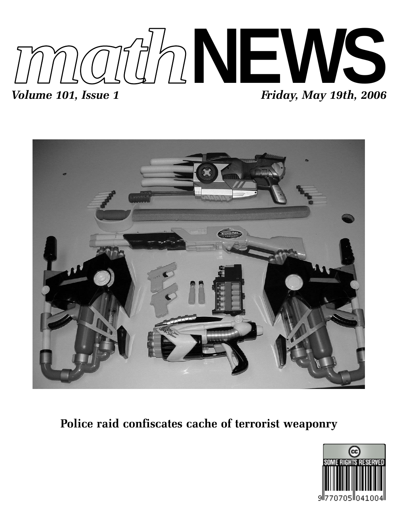



**Police raid confiscates cache of terrorist weaponry**

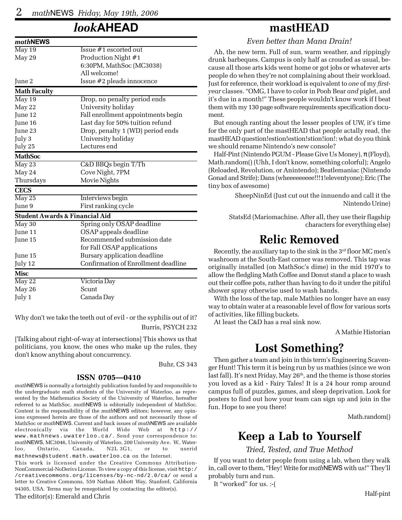# *look***AHEAD**

| mathNEWS                   |                                           |
|----------------------------|-------------------------------------------|
| May 19                     | Issue #1 escorted out                     |
| May 29                     | Production Night #1                       |
|                            | 6:30PM, MathSoc (MC3038)                  |
|                            | All welcome!                              |
| June 2                     | Issue #2 pleads innocence                 |
| <b>Math Faculty</b>        |                                           |
| May 19                     | Drop, no penalty period ends              |
| May 22                     | University holiday                        |
| June 12                    | Fall enrollment appointments begin        |
| June 16                    | Last day for 50% tuition refund           |
| June 23                    | Drop, penalty 1 (WD) period ends          |
| July 3                     | University holiday                        |
| July 25                    | Lectures end                              |
| <b>MathSoc</b>             |                                           |
| $\overline{\text{May }23}$ | C&D BBQs begin T/Th                       |
| May 24                     | Cove Night, 7PM                           |
| Thursdays                  | Movie Nights                              |
| <b>CECS</b>                |                                           |
| May 25                     | Interviews begin                          |
| June 9                     | First ranking cycle                       |
|                            | <b>Student Awards &amp; Financial Aid</b> |
| May 30                     | Spring only OSAP deadline                 |
| June 11                    | OSAP appeals deadline                     |
| June 15                    | Recommended submission date               |
|                            | for Fall OSAP applications                |
| June 15                    | Bursary application deadline              |
| July 12                    | Confirmation of Enrollment deadline       |
| <b>Misc</b>                |                                           |
| $\overline{\text{May}} 22$ | Victoria Day                              |
| May 26                     | Scunt                                     |
| July 1                     | Canada Day                                |
|                            |                                           |

Why don't we take the teeth out of evil - or the syphilis out of it? Burris, PSYCH 232

[Talking about right-of-way at intersections] This shows us that politicians, you know, the ones who make up the rules, they don't know anything about concurrency.

Buhr, CS 343

### **ISSN 0705—0410**

*math*NEWS is normally a fortnightly publication funded by and responsible to the undergraduate math students of the University of Waterloo, as represented by the Mathematics Society of the University of Waterloo, hereafter referred to as MathSoc. *math*NEWS is editorially independent of MathSoc. Content is the responsibility of the *math*NEWS editors; however, any opinions expressed herein are those of the authors and not necessarily those of MathSoc or *math*NEWS. Current and back issues of *math*NEWS are available electronically via the World Wide Web at http:// www.mathnews.uwaterloo.ca/. Send your correspondence to: *math*NEWS, MC3046, University of Waterloo, 200 University Ave. W., Waterloo, Ontario, Canada, N2L 3G1, or to userid mathnews@student.math.uwaterloo.ca on the Internet.

This work is licensed under the Creative Commons Attribution-NonCommercial-NoDerivs License. To view a copy of this license, visit http:/ /creativecommons.org/licenses/by-nc-nd/2.0/ca/ or send a letter to Creative Commons, 559 Nathan Abbott Way, Stanford, California 94305, USA. Terms may be renegotiated by contacting the editor(s).

#### The editor(s): Emerald and Chris

## **mastHEAD**

*Even better than Mana Drain!*

Ah, the new term. Full of sun, warm weather, and rippingly drunk barbeques. Campus is only half as crouded as usual, because all those arts kids went home or got jobs or whatever arts people do when they're not complaining about their workload. Just for reference, their workload is equivalent to *one* of my *firstyear* classes. "OMG, I have to color in Pooh Bear *and* piglet, and it's due in a month!" These people wouldn't know work if I beat them with my 130 page software requirements specification document.

But enough ranting about the lesser peoples of UW, it's time for the only part of the mastHEAD that people actally read, the mastHEAD question!estion!estion!stion!ion!: what do you think we should rename Nintendo's new console?

Half-Pint (Nintendo PGUM - Please Give Us Money), π (Floyd), Math.random() (Uhh, I don't know, something colorful); Angelo (Reloaded, Revolution, or Anintendo); Beatlemaniac (Nintendo Gonad and Strife); Dans (wheeeeeeeee!!!1!eleventyone); Eric (The tiny box of awesome)

> SheepNinEd (Just cut out the innuendo and call it the Nintendo Urine)

StatsEd (Mariomachine. After all, they use their flagship characters for everything else)

# **Relic Removed**

Recently, the auxiliary tap to the sink in the  $3<sup>rd</sup>$  floor MC men's washroom at the South-East corner was removed. This tap was originally installed (on MathSoc's dime) in the mid 1970's to allow the fledgling Math Coffee and Donut stand a place to wash out their coffee pots, rather than having to do it under the pitiful shower spray otherwise used to wash hands.

With the loss of the tap, male Mathies no longer have an easy way to obtain water at a reasonable level of flow for various sorts of activities, like filling buckets.

At least the C&D has a real sink now.

A Mathie Historian

# **Lost Something?**

Then gather a team and join in this term's Engineering Scavenger Hunt! This term it is being run by us mathies (since we won last fall). It's next Friday, May 26<sup>th</sup>, and the theme is those stories you loved as a kid - Fairy Tales! It is a 24 hour romp around campus full of puzzles, games, and sleep deprivation. Look for posters to find out how your team can sign up and join in the fun. Hope to see you there!

Math.random()

# **Keep a Lab to Yourself**

*Tried, Tested, and True Method*

If you want to deter people from using a lab, when they walk in, call over to them, "Hey! Write for *math*NEWS with us!" They'll probably turn and run.

It "worked" for us. :-(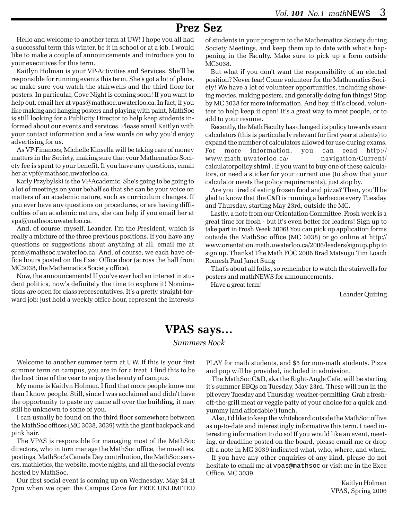## **Prez Sez**

Hello and welcome to another term at UW! I hope you all had a successful term this winter, be it in school or at a job. I would like to make a couple of announcements and introduce you to your executives for this term.

Kaitlyn Holman is your VP-Activities and Services. She'll be responsible for running events this term. She's got a lot of plans, so make sure you watch the stairwells and the third floor for posters. In particular, Cove Night is coming soon! If you want to help out, email her at vpas@mathsoc.uwaterloo.ca. In fact, if you like making and hanging posters and playing with paint, MathSoc is still looking for a Publicity Director to help keep students informed about our events and services. Please email Kaitlyn with your contact information and a few words on why you'd enjoy advertising for us.

As VP-Finances, Michelle Kinsella will be taking care of money matters in the Society, making sure that your Mathematics Society fee is spent to your benefit. If you have any questions, email her at vpf@mathsoc.uwaterloo.ca.

Karly Przybylski is the VP-Academic. She's going to be going to a lot of meetings on your behalf so that she can be your voice on matters of an academic nature, such as curriculum changes. If you ever have any questions on procedures, or are having difficulties of an academic nature, she can help if you email her at vpa@mathsoc.uwaterloo.ca.

And, of course, myself, Leander. I'm the President, which is really a mixture of the three previous positions. If you have any questions or suggestions about anything at all, email me at prez@mathsoc.uwaterloo.ca. And, of course, we each have office hours posted on the Exec Office door (across the hall from MC3038, the Mathematics Society office).

Now, the announcements! If you've ever had an interest in student politics, now's definitely the time to explore it! Nominations are open for class representatives. It's a pretty straight-forward job: just hold a weekly office hour, represent the interests of students in your program to the Mathematics Society during Society Meetings, and keep them up to date with what's happening in the Faculty. Make sure to pick up a form outside MC3038.

But what if you don't want the responsibility of an elected position? Never fear! Come volunteer for the Mathematics Society! We have a lot of volunteer opportunities, including showing movies, making posters, and generally doing fun things! Stop by MC 3038 for more information. And hey, if it's closed, volunteer to help keep it open! It's a great way to meet people, or to add to your resume.

Recently, the Math Faculty has changed its policy towards exam calculators (this is particularly relevant for first year students) to expand the number of calculators allowed for use during exams. For more information, you can read http:// www.math.uwaterloo.ca/ navigation/Current/ calculatorpolicy.shtml . If you want to buy one of these calculators, or need a sticker for your current one (to show that your calculator meets the policy requirements), just stop by.

Are you tired of eating frozen food and pizza? Then, you'll be glad to know that the C&D is running a barbecue every Tuesday and Thursday, starting May 23rd, outside the MC.

Lastly, a note from our Orientation Committee: Frosh week is a great time for frosh - but it's even better for leaders! Sign up to take part in Frosh Week 2006! You can pick up application forms outside the MathSoc office (MC 3038) or go online at http:// www.orientation.math.uwaterloo.ca/2006/leaders/signup.php to sign up. Thanks! The Math FOC 2006 Brad Matsugu Tim Loach Romesh Paul Janet Sung

That's about all folks, so remember to watch the stairwells for posters and mathNEWS for announcements.

Have a great term!

Leander Quiring

### **VPAS says…**

#### *Summers Rock*

Welcome to another summer term at UW. If this is your first summer term on campus, you are in for a treat. I find this to be the best time of the year to enjoy the beauty of campus.

My name is Kaitlyn Holman. I find that more people know me than I know people. Still, since I was acclaimed and didn't have the opportunity to paste my name all over the building, it may still be unknown to some of you.

I can usually be found on the third floor somewhere between the MathSoc offices (MC 3038, 3039) with the giant backpack and pink hair.

The VPAS is responsible for managing most of the MathSoc directors, who in turn manage the MathSoc office, the novelties, postings, MathSoc's Canada Day contribution, the MathSoc servers, mathletics, the website, movie nights, and all the social events hosted by MathSoc.

Our first social event is coming up on Wednesday, May 24 at 7pm when we open the Campus Cove for FREE UNLIMITED

PLAY for math students, and \$5 for non-math students. Pizza and pop will be provided, included in admission.

The MathSoc C&D, aka the Right-Angle Cafe, will be starting it's summer BBQs on Tuesday, May 23rd. These will run in the pit every Tuesday and Thursday, weather-permitting. Grab a freshoff-the-grill meat or veggie patty of your choice for a quick and yummy (and affordable!) lunch.

Also, I'd like to keep the whiteboard outside the MathSoc offive as up-to-date and interestingly informative this term. I need interesting information to do so! If you would like an event, meeting, or deadline posted on the board, please email me or drop off a note in MC 3039 indicated what, who, where, and when.

If you have any other enquiries of any kind, please do not hesitate to email me at vpas@mathsoc or visit me in the Exec Office, MC 3039.

> Kaitlyn Holman VPAS, Spring 2006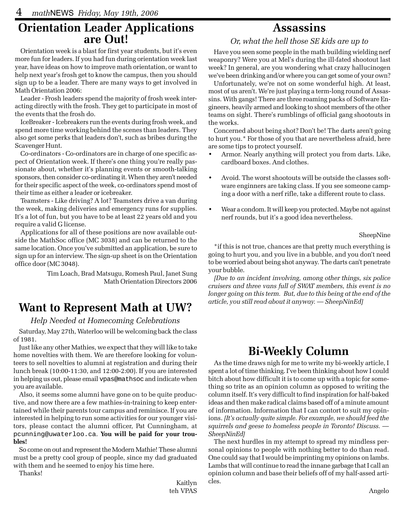### **Orientation Leader Applications are Out!**

Orientation week is a blast for first year students, but it's even more fun for leaders. If you had fun during orientation week last year, have ideas on how to improve math orientation, or want to help next year's frosh get to know the campus, then you should sign up to be a leader. There are many ways to get involved in Math Orientation 2006:

Leader - Frosh leaders spend the majority of frosh week interacting directly with the frosh. They get to participate in most of the events that the frosh do.

IceBreaker - Icebreakers run the events during frosh week, and spend more time working behind the scenes than leaders. They also get some perks that leaders don't, such as bribes during the Scavenger Hunt.

Co-ordinators - Co-ordinators are in charge of one specific aspect of Orientation week. If there's one thing you're really passionate about, whether it's planning events or smooth-talking sponsors, then consider co-ordinating it. When they aren't needed for their specific aspect of the week, co-ordinators spend most of their time as either a leader or icebreaker.

Teamsters - Like driving? A lot? Teamsters drive a van during the week, making deliveries and emergency runs for supplies. It's a lot of fun, but you have to be at least 22 years old and you require a valid G license.

Applications for all of these positions are now available outside the MathSoc office (MC 3038) and can be returned to the same location. Once you've submitted an application, be sure to sign up for an interview. The sign-up sheet is on the Orientation office door (MC 3048).

> Tim Loach, Brad Matsugu, Romesh Paul, Janet Sung Math Orientation Directors 2006

# **Want to Represent Math at UW?**

### *Help Needed at Homecoming Celebrations*

Saturday, May 27th, Waterloo will be welcoming back the class of 1981.

Just like any other Mathies, we expect that they will like to take home novelties with them. We are therefore looking for volunteers to sell novelties to alumni at registration and during their lunch break (10:00-11:30, and 12:00-2:00). If you are interested in helping us out, please email vpas@mathsoc and indicate when you are available.

Also, it seems some alumni have gone on to be quite productive, and now there are a few mathies-in-training to keep entertained while their parents tour campus and reminisce. If you are interested in helping to run some activities for our younger visitors, please contact the alumni officer, Pat Cunningham, at pcunning@uwaterloo.ca. **You will be paid for your troubles!**

So come on out and represent the Modern Mathie! These alumni must be a pretty cool group of people, since my dad graduated with them and he seemed to enjoy his time here.

Thanks!

Kaitlyn teh VPAS

# **Assassins**

### *Or, what the hell those SE kids are up to*

Have you seen some people in the math building wielding nerf weaponry? Were you at Mel's during the ill-fated shootout last week? In general, are you wondering what crazy hallucinogen we've been drinking and/or where you can get some of your own?

Unfortunately, we're not on some wonderful high. At least, most of us aren't. We're just playing a term-long round of Assassins. With gangs! There are three roaming packs of Software Engineers, heavily armed and looking to shoot members of the other teams on sight. There's rumblings of official gang shootouts in the works.

Concerned about being shot? Don't be! The darts aren't going to hurt you.\* For those of you that are nevertheless afraid, here are some tips to protect yourself.

- Armor. Nearly anything will protect you from darts. Like, cardboard boxes. And clothes.
- Avoid. The worst shootouts will be outside the classes software enginners are taking class. If you see someone camping a door with a nerf rifle, take a different route to class.
- Wear a condom. It will keep you protected. Maybe not against nerf rounds, but it's a good idea nevertheless.

### SheepNine

\*if this is not true, chances are that pretty much everything is going to hurt you, and you live in a bubble, and you don't need to be worried about being shot anyway. The darts can't penetrate your bubble.

*[Due to an incident involving, among other things, six police cruisers and three vans full of SWAT members, this event is no longer going on this term. But, due to this being at the end of the article, you still read about it anyway. — SheepNinEd]*

# **Bi-Weekly Column**

As the time draws nigh for me to write my bi-weekly article, I spent a lot of time thinking. I've been thinking about how I could bitch about how difficult it is to come up with a topic for something so trite as an opinion column as opposed to writing the column itself. It's very difficult to find inspiration for half-baked ideas and then make radical claims based off of a minute amount of information. Information that I can contort to suit my opinions. *[It's actually quite simple. For example, we should feed the squirrels and geese to homeless people in Toronto! Discuss. — SheepNinEd]*

The next hurdles in my attempt to spread my mindless personal opinions to people with nothing better to do than read. One could say that I would be imprinting my opinions on lambs. Lambs that will continue to read the innane garbage that I call an opinion column and base their beliefs off of my half-assed articles.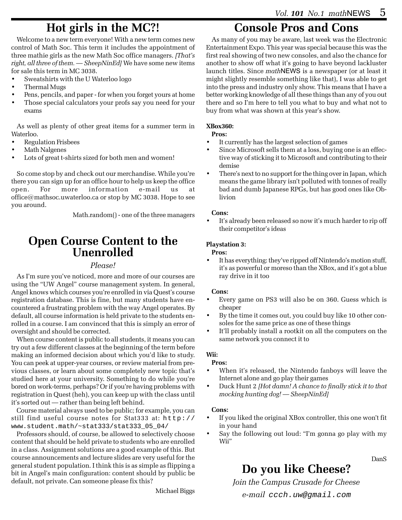# **Hot girls in the MC?!**

Welcome to a new term everyone! With a new term comes new control of Math Soc. This term it includes the appointment of three mathie girls as the new Math Soc office managers. *[That's right, all three of them. — SheepNinEd]* We have some new items for sale this term in MC 3038.

- Sweatshirts with the U Waterloo logo
- Thermal Mugs
- Pens, pencils, and paper for when you forget yours at home
- Those special calculators your profs say you need for your exams

As well as plenty of other great items for a summer term in Waterloo.

- Regulation Frisbees
- Math Nalgenes
- Lots of great t-shirts sized for both men and women!

So come stop by and check out our merchandise. While you're there you can sign up for an office hour to help us keep the office open. For more information e-mail us at office@mathsoc.uwaterloo.ca or stop by MC 3038. Hope to see you around.

Math.random() - one of the three managers

# **Open Course Content to the Unenrolled**

### *Please!*

As I'm sure you've noticed, more and more of our courses are using the "UW Angel" course management system. In general, Angel knows which courses you're enrolled in via Quest's course registration database. This is fine, but many students have encountered a frustrating problem with the way Angel operates. By default, all course information is held private to the students enrolled in a course. I am convinced that this is simply an error of oversight and should be corrected.

When course content is public to all students, it means you can try out a few different classes at the beginning of the term before making an informed decision about which you'd like to study. You can peek at upper-year courses, or review material from previous classes, or learn about some completely new topic that's studied here at your university. Something to do while you're bored on work-terms, perhaps? Or if you're having problems with registration in Quest (heh), you can keep up with the class until it's sorted out — rather than being left behind.

Course material always used to be public; for example, you can still find useful course notes for Stat333 at: http:// www.student.math/~stat333/stat333\_05\_04/

Professors should, of course, be allowed to selectively choose content that should be held private to students who are enrolled in a class. Assignment solutions are a good example of this. But course announcements and lecture slides are very useful for the general student population. I think this is as simple as flipping a bit in Angel's main configuration: content should by public be default, not private. Can someone please fix this?

Michael Biggs

# **Console Pros and Cons**

As many of you may be aware, last week was the Electronic Entertainment Expo. This year was special because this was the first real showing of two new consoles, and also the chance for another to show off what it's going to have beyond lackluster launch titles. Since *math*NEWS is a newspaper (or at least it might slightly resemble something like that), I was able to get into the press and industry only show. This means that I have a better working knowledge of all these things than any of you out there and so I'm here to tell you what to buy and what not to buy from what was shown at this year's show.

### **XBox360:**

#### **Pros:**

- It currently has the largest selection of games
- Since Microsoft sells them at a loss, buying one is an effective way of sticking it to Microsoft and contributing to their demise
- There's next to no support for the thing over in Japan, which means the game library isn't polluted with tonnes of really bad and dumb Japanese RPGs, but has good ones like Oblivion

#### **Cons:**

It's already been released so now it's much harder to rip off their competitor's ideas

### **Playstation 3:**

### **Pros:**

It has everything: they've ripped off Nintendo's motion stuff, it's as powerful or moreso than the XBox, and it's got a blue ray drive in it too

### **Cons:**

- Every game on PS3 will also be on 360. Guess which is cheaper
- By the time it comes out, you could buy like 10 other consoles for the same price as one of these things
- It'll probably install a rootkit on all the computers on the same network you connect it to

### **Wii:**

### **Pros:**

- When it's released, the Nintendo fanboys will leave the Internet alone and go play their games
- Duck Hunt 2 *[Hot damn! A chance to finally stick it to that mocking hunting dog! — SheepNinEd]*

### **Cons:**

- If you liked the original XBox controller, this one won't fit in your hand
- Say the following out loud: "I'm gonna go play with my Wii"

#### DanS

# **Do you like Cheese?**

*Join the Campus Crusade for Cheese*

*e-mail* ccch.uw@gmail.com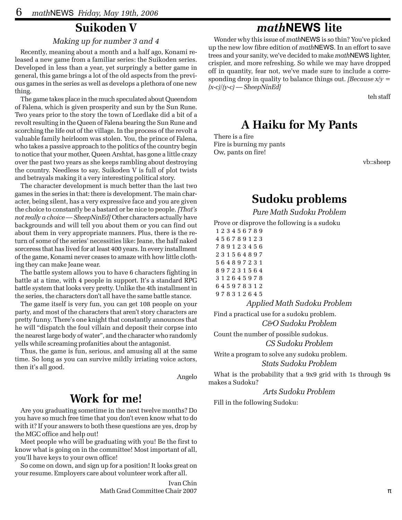# **Suikoden V**

### *Making up for number 3 and 4*

Recently, meaning about a month and a half ago, Konami released a new game from a familiar series: the Suikoden series. Developed in less than a year, yet surpringly a better game in general, this game brings a lot of the old aspects from the previous games in the series as well as develops a plethora of one new thing.

The game takes place in the much speculated about Queendom of Falena, which is given prosperity and sun by the Sun Rune. Two years prior to the story the town of Lordlake did a bit of a revolt resulting in the Queen of Falena bearing the Sun Rune and scorching the life out of the village. In the process of the revolt a valuable family heirloom was stolen. You, the prince of Falena, who takes a passive approach to the politics of the country begin to notice that your mother, Queen Arshtat, has gone a little crazy over the past two years as she keeps rambling about destroying the country. Needless to say, Suikoden V is full of plot twists and betrayals making it a very interesting political story.

The character development is much better than the last two games in the series in that: there is development. The main character, being silent, has a very expressive face and you are given the choice to constantly be a bastard or be nice to people. *[That's not really a choice — SheepNinEd]* Other characters actually have backgrounds and will tell you about them or you can find out about them in very appropriate manners. Plus, there is the return of some of the series' necessities like: Jeane, the half naked sorceress that has lived for at least 400 years. In every installment of the game, Konami never ceases to amaze with how little clothing they can make Jeane wear.

The battle system allows you to have 6 characters fighting in battle at a time, with 4 people in support. It's a standard RPG battle system that looks very pretty. Unlike the 4th installment in the series, the characters don't all have the same battle stance.

The game itself is very fun, you can get 108 people on your party, and most of the characters that aren't story characters are pretty funny. There's one knight that constantly announces that he will "dispatch the foul villain and deposit their corpse into the nearest large body of water", and the character who randomly yells while screaming profanities about the antagonist.

Thus, the game is fun, serious, and amusing all at the same time. So long as you can survive mildly irriating voice actors, then it's all good.

Angelo

# **Work for me!**

Are you graduating sometime in the next twelve months? Do you have so much free time that you don't even know what to do with it? If your answers to both these questions are yes, drop by the MGC office and help out!

Meet people who will be graduating with you! Be the first to know what is going on in the committee! Most important of all, you'll have keys to your own office!

So come on down, and sign up for a position! It looks great on your resume. Employers care about volunteer work after all.

> Ivan Chin Math Grad Committee Chair 2007

# *math***NEWS lite**

Wonder why this issue of *math*NEWS is so thin? You've picked up the new low fibre edition of *math*NEWS. In an effort to save trees and your sanity, we've decided to make *math*NEWS lighter, crispier, and more refreshing. So while we may have dropped off in quantity, fear not, we've made sure to include a corresponding drop in quality to balance things out. *[Because x/y = (x-c)/(y-c) — SheepNinEd]*

teh staff

# **A Haiku for My Pants**

There is a fire Fire is burning my pants Ow, pants on fire!

vb::sheep

# **Sudoku problems**

*Pure Math Sudoku Problem*

Prove or disprove the following is a sudoku 1 2 3 4 5 6 7 8 9 4 5 6 7 8 9 1 2 3 7 8 9 1 2 3 4 5 6 2 3 1 5 6 4 8 9 7 5 6 4 8 9 7 2 3 1 8 9 7 2 3 1 5 6 4 3 1 2 6 4 5 9 7 8 6 4 5 9 7 8 3 1 2 9 7 8 3 1 2 6 4 5 *Applied Math Sudoku Problem*

Find a practical use for a sudoku problem. *C&O Sudoku Problem*

Count the number of possible sudokus. *CS Sudoku Problem*

Write a program to solve any sudoku problem. *Stats Sudoku Problem*

What is the probability that a 9x9 grid with 1s through 9s makes a Sudoku?

### *Arts Sudoku Problem*

Fill in the following Sudoku: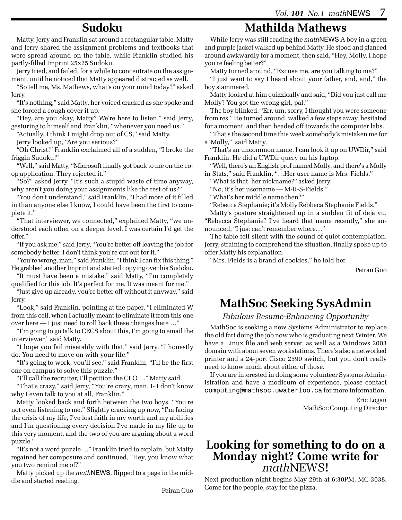# **Sudoku**

Matty, Jerry and Franklin sat around a rectangular table. Matty and Jerry shared the assignment problems and textbooks that were spread around on the table, while Franklin studied his partly-filled Imprint 25x25 Sudoku.

Jerry tried, and failed, for a while to concentrate on the assignment, until he noticed that Matty appeared distracted as well.

"So tell me, Ms. Mathews, what's on your mind today?" asked Jerry.

"It's nothing," said Matty, her voiced cracked as she spoke and she forced a cough cover it up.

"Hey, are you okay, Matty? We're here to listen," said Jerry, gesturing to himself and Franklin, "whenever you need us."

"Actually, I think I might drop out of CS," said Matty.

Jerry looked up, "Are you serious?"

"Oh Christ!" Franklin exclaimed all of a sudden, "I broke the friggin Sudoku!"

"Well," said Matty, "Microsoft finally got back to me on the coop application. They rejected it."

"So?" asked Jerry, "It's such a stupid waste of time anyway, why aren't you doing your assignments like the rest of us?"

"You don't understand," said Franklin, "I had more of it filled in than anyone else I know, I could have been the first to complete it."

"That interviewer, we connected," explained Matty, "we understood each other on a deeper level. I was certain I'd get the offer."

"If you ask me," said Jerry, "You're better off leaving the job for somebody better. I don't think you're cut out for it."

"You're wrong, man," said Franklin, "I think I can fix this thing." He grabbed another Imprint and started copying over his Sudoku.

"It must have been a mistake," said Matty, "I'm completely qualified for this job. It's perfect for me. It was meant for me."

"Just give up already, you're better off without it anyway," said Jerry.

"Look," said Franklin, pointing at the paper, "I eliminated W from this cell, when I actually meant to eliminate it from this one over here — I just need to roll back these changes here …"

"I'm going to go talk to CECS about this, I'm going to email the interviewer," said Matty.

"I hope you fail miserably with that," said Jerry, "I honestly do. You need to move on with your life."

"It's going to work, you'll see," said Franklin, "I'll be the first one on campus to solve this puzzle."

"I'll call the recruiter, I'll petition the CEO …" Matty said.

"That's crazy," said Jerry, "You're crazy, man, I- I don't know why I even talk to you at all, Franklin."

Matty looked back and forth between the two boys. "You're not even listening to me," Slightly cracking up now, "I'm facing the crisis of my life, I've lost faith in my worth and my abilities and I'm questioning every decision I've made in my life up to this very moment, and the two of you are arguing about a word puzzle."

"It's not a word puzzle …" Franklin tried to explain, but Matty regained her composure and continued, "Hey, you know what you two remind me of?"

Matty picked up the *math*NEWS, flipped to a page in the middle and started reading.

Peiran Guo

# **Mathilda Mathews**

While Jerry was still reading the *math*NEWS A boy in a green and purple jacket walked up behind Matty. He stood and glanced around awkwardly for a moment, then said, "Hey, Molly, I hope you're feeling better?"

Matty turned around, "Excuse me, are you talking to me?"

"I just want to say I heard about your father, and, and," the boy stammered.

Matty looked at him quizzically and said, "Did you just call me Molly? You got the wrong girl, pal."

The boy blinked. "Err, um, sorry, I thought you were someone from res." He turned around, walked a few steps away, hesitated for a moment, and then headed off towards the computer labs.

"That's the second time this week somebody's mistaken me for a 'Molly,'" said Matty.

"That's an uncommon name, I can look it up on UWDir," said Franklin. He did a UWDir query on his laptop.

"Well, there's an English prof named Molly, and there's a Molly in Stats," said Franklin, "…Her user name is Mrs. Fields."

"What is that, her nickname?" asked Jerry.

"No, it's her username — M-R-S-Fields."

"What's her middle name then?"

"Rebecca Stephanie; it's Molly Rebbeca Stephanie Fields."

Matty's posture straightened up in a sudden fit of deja vu. "Rebecca Stephanie? I've heard that name recently," she announced, "I just can't remember where…"

The table fell silent with the sound of quiet contemplation. Jerry, straining to comprehend the situation, finally spoke up to offer Matty his explanation.

"Mrs. Fields is a brand of cookies," he told her.

Peiran Guo

# **MathSoc Seeking SysAdmin**

### *Fabulous Resume-Enhancing Opportunity*

MathSoc is seeking a new Systems Administrator to replace the old fart doing the job now who is graduating next Winter. We have a Linux file and web server, as well as a Windows 2003 domain with about seven workstations. There's also a networked printer and a 24-port Cisco 2590 switch, but you don't really need to know much about either of those.

If you are interested in doing some volunteer Systems Administration and have a modicum of experience, please contact computing@mathsoc.uwaterloo.ca for more information.

> Eric Logan MathSoc Computing Director

# **Looking for something to do on a Monday night? Come write for** *math*NEWS**!**

Next production night begins May 29th at 6:30PM, MC 3038. Come for the people, stay for the pizza.